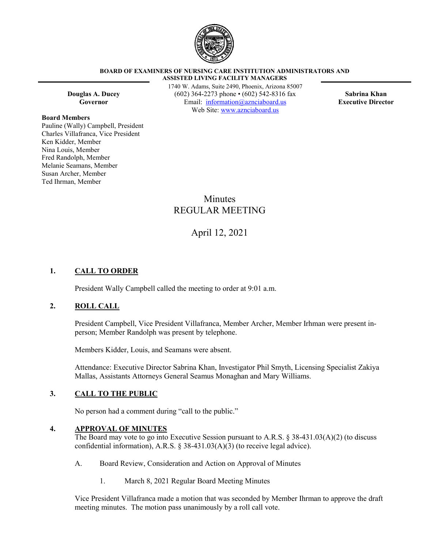

#### **BOARD OF EXAMINERS OF NURSING CARE INSTITUTION ADMINISTRATORS AND ASSISTED LIVING FACILITY MANAGERS**

**Board Members**

Pauline (Wally) Campbell, President Charles Villafranca, Vice President Ken Kidder, Member Nina Louis, Member Fred Randolph, Member Melanie Seamans, Member Susan Archer, Member Ted Ihrman, Member

1740 W. Adams, Suite 2490, Phoenix, Arizona 85007 **Douglas A. Ducey** (602) 364-2273 phone • (602) 542-8316 fax **Sabrina Khan Governor** Email: [information@aznciaboard.us](mailto:information@aznciaboard.us) **Executive Director** Web Site: [www.aznciaboard.us](http://www.aznciaboard.us/)

# **Minutes** REGULAR MEETING

# April 12, 2021

# **1. CALL TO ORDER**

President Wally Campbell called the meeting to order at 9:01 a.m.

### **2. ROLL CALL**

President Campbell, Vice President Villafranca, Member Archer, Member Irhman were present inperson; Member Randolph was present by telephone.

Members Kidder, Louis, and Seamans were absent.

Attendance: Executive Director Sabrina Khan, Investigator Phil Smyth, Licensing Specialist Zakiya Mallas, Assistants Attorneys General Seamus Monaghan and Mary Williams.

### **3. CALL TO THE PUBLIC**

No person had a comment during "call to the public."

#### **4. APPROVAL OF MINUTES**

The Board may vote to go into Executive Session pursuant to A.R.S. § 38-431.03(A)(2) (to discuss confidential information), A.R.S. § 38-431.03(A)(3) (to receive legal advice).

- A. Board Review, Consideration and Action on Approval of Minutes
	- 1. March 8, 2021 Regular Board Meeting Minutes

Vice President Villafranca made a motion that was seconded by Member Ihrman to approve the draft meeting minutes. The motion pass unanimously by a roll call vote.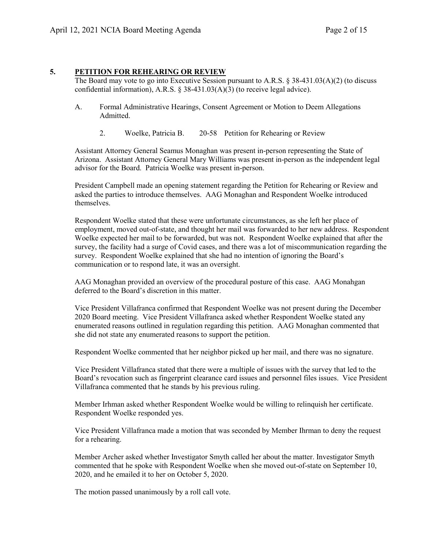# **5. PETITION FOR REHEARING OR REVIEW**

The Board may vote to go into Executive Session pursuant to A.R.S.  $\S$  38-431.03(A)(2) (to discuss confidential information), A.R.S. § 38-431.03(A)(3) (to receive legal advice).

- A. Formal Administrative Hearings, Consent Agreement or Motion to Deem Allegations Admitted.
	- 2. Woelke, Patricia B. 20-58 Petition for Rehearing or Review

Assistant Attorney General Seamus Monaghan was present in-person representing the State of Arizona. Assistant Attorney General Mary Williams was present in-person as the independent legal advisor for the Board. Patricia Woelke was present in-person.

President Campbell made an opening statement regarding the Petition for Rehearing or Review and asked the parties to introduce themselves. AAG Monaghan and Respondent Woelke introduced themselves.

Respondent Woelke stated that these were unfortunate circumstances, as she left her place of employment, moved out-of-state, and thought her mail was forwarded to her new address. Respondent Woelke expected her mail to be forwarded, but was not. Respondent Woelke explained that after the survey, the facility had a surge of Covid cases, and there was a lot of miscommunication regarding the survey. Respondent Woelke explained that she had no intention of ignoring the Board's communication or to respond late, it was an oversight.

AAG Monaghan provided an overview of the procedural posture of this case. AAG Monahgan deferred to the Board's discretion in this matter.

Vice President Villafranca confirmed that Respondent Woelke was not present during the December 2020 Board meeting. Vice President Villafranca asked whether Respondent Woelke stated any enumerated reasons outlined in regulation regarding this petition. AAG Monaghan commented that she did not state any enumerated reasons to support the petition.

Respondent Woelke commented that her neighbor picked up her mail, and there was no signature.

Vice President Villafranca stated that there were a multiple of issues with the survey that led to the Board's revocation such as fingerprint clearance card issues and personnel files issues. Vice President Villafranca commented that he stands by his previous ruling.

Member Irhman asked whether Respondent Woelke would be willing to relinquish her certificate. Respondent Woelke responded yes.

Vice President Villafranca made a motion that was seconded by Member Ihrman to deny the request for a rehearing.

Member Archer asked whether Investigator Smyth called her about the matter. Investigator Smyth commented that he spoke with Respondent Woelke when she moved out-of-state on September 10, 2020, and he emailed it to her on October 5, 2020.

The motion passed unanimously by a roll call vote.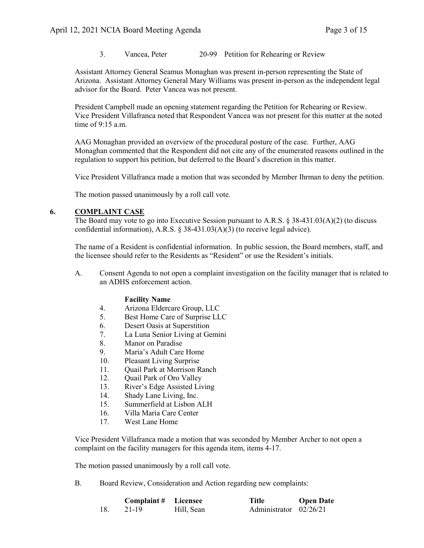3. Vancea, Peter 20-99 Petition for Rehearing or Review

Assistant Attorney General Seamus Monaghan was present in-person representing the State of Arizona. Assistant Attorney General Mary Williams was present in-person as the independent legal advisor for the Board. Peter Vancea was not present.

President Campbell made an opening statement regarding the Petition for Rehearing or Review. Vice President Villafranca noted that Respondent Vancea was not present for this matter at the noted time of 9:15 a.m.

AAG Monaghan provided an overview of the procedural posture of the case. Further, AAG Monaghan commented that the Respondent did not cite any of the enumerated reasons outlined in the regulation to support his petition, but deferred to the Board's discretion in this matter.

Vice President Villafranca made a motion that was seconded by Member Ihrman to deny the petition.

The motion passed unanimously by a roll call vote.

### **6. COMPLAINT CASE**

The Board may vote to go into Executive Session pursuant to A.R.S. § 38-431.03(A)(2) (to discuss confidential information), A.R.S. § 38-431.03(A)(3) (to receive legal advice).

The name of a Resident is confidential information. In public session, the Board members, staff, and the licensee should refer to the Residents as "Resident" or use the Resident's initials.

A. Consent Agenda to not open a complaint investigation on the facility manager that is related to an ADHS enforcement action.

### **Facility Name**

- 4. Arizona Eldercare Group, LLC<br>5. Best Home Care of Surprise LL
- 5. Best Home Care of Surprise LLC
- 6. Desert Oasis at Superstition
- 7. La Luna Senior Living at Gemini
- 8. Manor on Paradise
- 9. Maria's Adult Care Home
- 10. Pleasant Living Surprise
- 11. Quail Park at Morrison Ranch
- 12. Ouail Park of Oro Valley
- 13. River's Edge Assisted Living
- 14. Shady Lane Living, Inc.
- 15. Summerfield at Lisbon ALH
- 16. Villa Maria Care Center
- 17. West Lane Home

Vice President Villafranca made a motion that was seconded by Member Archer to not open a complaint on the facility managers for this agenda item, items 4-17.

The motion passed unanimously by a roll call vote.

B. Board Review, Consideration and Action regarding new complaints:

|     | <b>Complaint # Licensee</b> |            | Title                  | <b>Open Date</b> |
|-----|-----------------------------|------------|------------------------|------------------|
| 18. | 21-19                       | Hill, Sean | Administrator 02/26/21 |                  |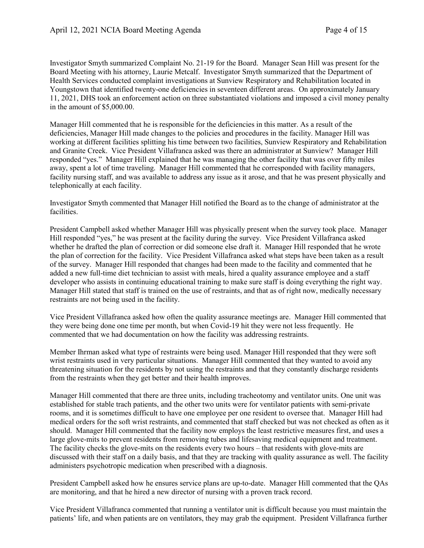Investigator Smyth summarized Complaint No. 21-19 for the Board. Manager Sean Hill was present for the Board Meeting with his attorney, Laurie Metcalf. Investigator Smyth summarized that the Department of Health Services conducted complaint investigations at Sunview Respiratory and Rehabilitation located in Youngstown that identified twenty-one deficiencies in seventeen different areas. On approximately January 11, 2021, DHS took an enforcement action on three substantiated violations and imposed a civil money penalty in the amount of \$5,000.00.

Manager Hill commented that he is responsible for the deficiencies in this matter. As a result of the deficiencies, Manager Hill made changes to the policies and procedures in the facility. Manager Hill was working at different facilities splitting his time between two facilities, Sunview Respiratory and Rehabilitation and Granite Creek. Vice President Villafranca asked was there an administrator at Sunview? Manager Hill responded "yes." Manager Hill explained that he was managing the other facility that was over fifty miles away, spent a lot of time traveling. Manager Hill commented that he corresponded with facility managers, facility nursing staff, and was available to address any issue as it arose, and that he was present physically and telephonically at each facility.

Investigator Smyth commented that Manager Hill notified the Board as to the change of administrator at the facilities.

President Campbell asked whether Manager Hill was physically present when the survey took place. Manager Hill responded "yes," he was present at the facility during the survey. Vice President Villafranca asked whether he drafted the plan of correction or did someone else draft it. Manager Hill responded that he wrote the plan of correction for the facility. Vice President Villafranca asked what steps have been taken as a result of the survey. Manager Hill responded that changes had been made to the facility and commented that he added a new full-time diet technician to assist with meals, hired a quality assurance employee and a staff developer who assists in continuing educational training to make sure staff is doing everything the right way. Manager Hill stated that staff is trained on the use of restraints, and that as of right now, medically necessary restraints are not being used in the facility.

Vice President Villafranca asked how often the quality assurance meetings are. Manager Hill commented that they were being done one time per month, but when Covid-19 hit they were not less frequently. He commented that we had documentation on how the facility was addressing restraints.

Member Ihrman asked what type of restraints were being used. Manager Hill responded that they were soft wrist restraints used in very particular situations. Manager Hill commented that they wanted to avoid any threatening situation for the residents by not using the restraints and that they constantly discharge residents from the restraints when they get better and their health improves.

Manager Hill commented that there are three units, including tracheotomy and ventilator units. One unit was established for stable trach patients, and the other two units were for ventilator patients with semi-private rooms, and it is sometimes difficult to have one employee per one resident to oversee that. Manager Hill had medical orders for the soft wrist restraints, and commented that staff checked but was not checked as often as it should. Manager Hill commented that the facility now employs the least restrictive measures first, and uses a large glove-mits to prevent residents from removing tubes and lifesaving medical equipment and treatment. The facility checks the glove-mits on the residents every two hours – that residents with glove-mits are discussed with their staff on a daily basis, and that they are tracking with quality assurance as well. The facility administers psychotropic medication when prescribed with a diagnosis.

President Campbell asked how he ensures service plans are up-to-date. Manager Hill commented that the QAs are monitoring, and that he hired a new director of nursing with a proven track record.

Vice President Villafranca commented that running a ventilator unit is difficult because you must maintain the patients' life, and when patients are on ventilators, they may grab the equipment. President Villafranca further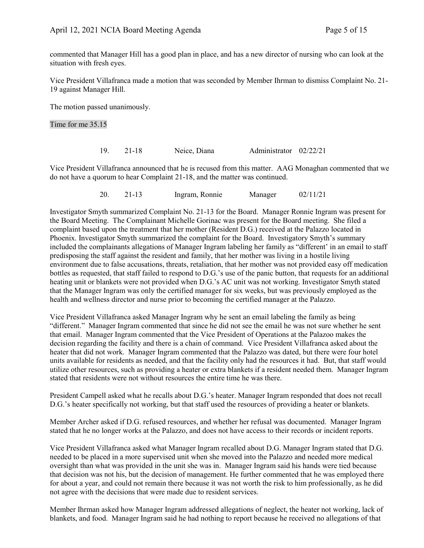commented that Manager Hill has a good plan in place, and has a new director of nursing who can look at the situation with fresh eyes.

Vice President Villafranca made a motion that was seconded by Member Ihrman to dismiss Complaint No. 21- 19 against Manager Hill.

The motion passed unanimously.

Time for me 35.15

| 19. | $21 - 18$ | Neice, Diana | Administrator 02/22/21 |  |
|-----|-----------|--------------|------------------------|--|
|-----|-----------|--------------|------------------------|--|

Vice President Villafranca announced that he is recused from this matter. AAG Monaghan commented that we do not have a quorum to hear Complaint 21-18, and the matter was continued.

20. 21-13 Ingram, Ronnie Manager 02/11/21

Investigator Smyth summarized Complaint No. 21-13 for the Board. Manager Ronnie Ingram was present for the Board Meeting. The Complainant Michelle Gorinac was present for the Board meeting. She filed a complaint based upon the treatment that her mother (Resident D.G.) received at the Palazzo located in Phoenix. Investigator Smyth summarized the complaint for the Board. Investigatory Smyth's summary included the complainants allegations of Manager Ingram labeling her family as "different' in an email to staff predisposing the staff against the resident and family, that her mother was living in a hostile living environment due to false accusations, threats, retaliation, that her mother was not provided easy off medication bottles as requested, that staff failed to respond to D.G.'s use of the panic button, that requests for an additional heating unit or blankets were not provided when D.G.'s AC unit was not working. Investigator Smyth stated that the Manager Ingram was only the certified manager for six weeks, but was previously employed as the health and wellness director and nurse prior to becoming the certified manager at the Palazzo.

Vice President Villafranca asked Manager Ingram why he sent an email labeling the family as being "different." Manager Ingram commented that since he did not see the email he was not sure whether he sent that email. Manager Ingram commented that the Vice President of Operations at the Palazoo makes the decision regarding the facility and there is a chain of command. Vice President Villafranca asked about the heater that did not work. Manager Ingram commented that the Palazzo was dated, but there were four hotel units available for residents as needed, and that the facility only had the resources it had. But, that staff would utilize other resources, such as providing a heater or extra blankets if a resident needed them. Manager Ingram stated that residents were not without resources the entire time he was there.

President Campell asked what he recalls about D.G.'s heater. Manager Ingram responded that does not recall D.G.'s heater specifically not working, but that staff used the resources of providing a heater or blankets.

Member Archer asked if D.G. refused resources, and whether her refusal was documented. Manager Ingram stated that he no longer works at the Palazzo, and does not have access to their records or incident reports.

Vice President Villafranca asked what Manager Ingram recalled about D.G. Manager Ingram stated that D.G. needed to be placed in a more supervised unit when she moved into the Palazzo and needed more medical oversight than what was provided in the unit she was in. Manager Ingram said his hands were tied because that decision was not his, but the decision of management. He further commented that he was employed there for about a year, and could not remain there because it was not worth the risk to him professionally, as he did not agree with the decisions that were made due to resident services.

Member Ihrman asked how Manager Ingram addressed allegations of neglect, the heater not working, lack of blankets, and food. Manager Ingram said he had nothing to report because he received no allegations of that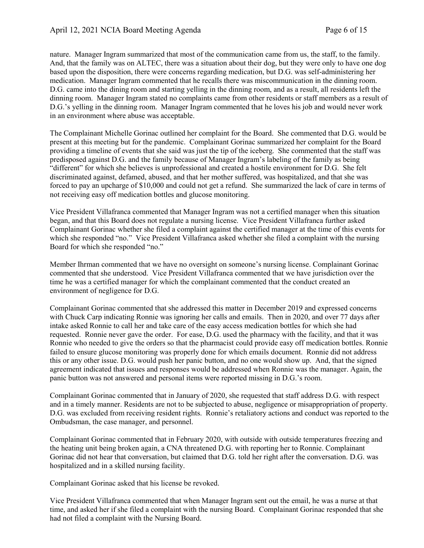nature. Manager Ingram summarized that most of the communication came from us, the staff, to the family. And, that the family was on ALTEC, there was a situation about their dog, but they were only to have one dog based upon the disposition, there were concerns regarding medication, but D.G. was self-administering her medication. Manager Ingram commented that he recalls there was miscommunication in the dinning room. D.G. came into the dining room and starting yelling in the dinning room, and as a result, all residents left the dinning room. Manager Ingram stated no complaints came from other residents or staff members as a result of D.G.'s yelling in the dinning room. Manager Ingram commented that he loves his job and would never work in an environment where abuse was acceptable.

The Complainant Michelle Gorinac outlined her complaint for the Board. She commented that D.G. would be present at this meeting but for the pandemic. Complainant Gorinac summarized her complaint for the Board providing a timeline of events that she said was just the tip of the iceberg. She commented that the staff was predisposed against D.G. and the family because of Manager Ingram's labeling of the family as being "different" for which she believes is unprofessional and created a hostile environment for D.G. She felt discriminated against, defamed, abused, and that her mother suffered, was hospitalized, and that she was forced to pay an upcharge of \$10,000 and could not get a refund. She summarized the lack of care in terms of not receiving easy off medication bottles and glucose monitoring.

Vice President Villafranca commented that Manager Ingram was not a certified manager when this situation began, and that this Board does not regulate a nursing license. Vice President Villafranca further asked Complainant Gorinac whether she filed a complaint against the certified manager at the time of this events for which she responded "no." Vice President Villafranca asked whether she filed a complaint with the nursing Board for which she responded "no."

Member Ihrman commented that we have no oversight on someone's nursing license. Complainant Gorinac commented that she understood. Vice President Villafranca commented that we have jurisdiction over the time he was a certified manager for which the complainant commented that the conduct created an environment of negligence for D.G.

Complainant Gorinac commented that she addressed this matter in December 2019 and expressed concerns with Chuck Carp indicating Ronnie was ignoring her calls and emails. Then in 2020, and over 77 days after intake asked Ronnie to call her and take care of the easy access medication bottles for which she had requested. Ronnie never gave the order. For ease, D.G. used the pharmacy with the facility, and that it was Ronnie who needed to give the orders so that the pharmacist could provide easy off medication bottles. Ronnie failed to ensure glucose monitoring was properly done for which emails document. Ronnie did not address this or any other issue. D.G. would push her panic button, and no one would show up. And, that the signed agreement indicated that issues and responses would be addressed when Ronnie was the manager. Again, the panic button was not answered and personal items were reported missing in D.G.'s room.

Complainant Gorinac commented that in January of 2020, she requested that staff address D.G. with respect and in a timely manner. Residents are not to be subjected to abuse, negligence or misappropriation of property. D.G. was excluded from receiving resident rights. Ronnie's retaliatory actions and conduct was reported to the Ombudsman, the case manager, and personnel.

Complainant Gorinac commented that in February 2020, with outside with outside temperatures freezing and the heating unit being broken again, a CNA threatened D.G. with reporting her to Ronnie. Complainant Gorinac did not hear that conversation, but claimed that D.G. told her right after the conversation. D.G. was hospitalized and in a skilled nursing facility.

Complainant Gorinac asked that his license be revoked.

Vice President Villafranca commented that when Manager Ingram sent out the email, he was a nurse at that time, and asked her if she filed a complaint with the nursing Board. Complainant Gorinac responded that she had not filed a complaint with the Nursing Board.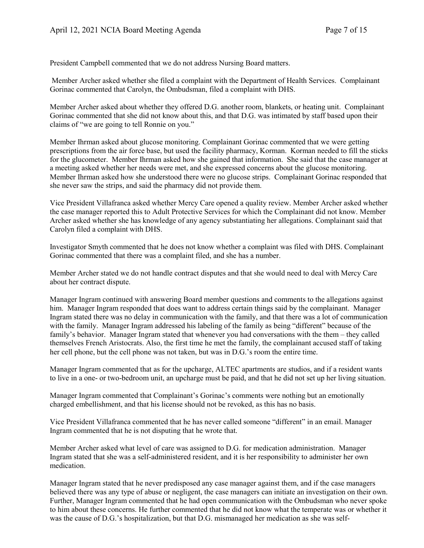President Campbell commented that we do not address Nursing Board matters.

Member Archer asked whether she filed a complaint with the Department of Health Services. Complainant Gorinac commented that Carolyn, the Ombudsman, filed a complaint with DHS.

Member Archer asked about whether they offered D.G. another room, blankets, or heating unit. Complainant Gorinac commented that she did not know about this, and that D.G. was intimated by staff based upon their claims of "we are going to tell Ronnie on you."

Member Ihrman asked about glucose monitoring. Complainant Gorinac commented that we were getting prescriptions from the air force base, but used the facility pharmacy, Korman. Korman needed to fill the sticks for the glucometer. Member Ihrman asked how she gained that information. She said that the case manager at a meeting asked whether her needs were met, and she expressed concerns about the glucose monitoring. Member Ihrman asked how she understood there were no glucose strips. Complainant Gorinac responded that she never saw the strips, and said the pharmacy did not provide them.

Vice President Villafranca asked whether Mercy Care opened a quality review. Member Archer asked whether the case manager reported this to Adult Protective Services for which the Complainant did not know. Member Archer asked whether she has knowledge of any agency substantiating her allegations. Complainant said that Carolyn filed a complaint with DHS.

Investigator Smyth commented that he does not know whether a complaint was filed with DHS. Complainant Gorinac commented that there was a complaint filed, and she has a number.

Member Archer stated we do not handle contract disputes and that she would need to deal with Mercy Care about her contract dispute.

Manager Ingram continued with answering Board member questions and comments to the allegations against him. Manager Ingram responded that does want to address certain things said by the complainant. Manager Ingram stated there was no delay in communication with the family, and that there was a lot of communication with the family. Manager Ingram addressed his labeling of the family as being "different" because of the family's behavior. Manager Ingram stated that whenever you had conversations with the them – they called themselves French Aristocrats. Also, the first time he met the family, the complainant accused staff of taking her cell phone, but the cell phone was not taken, but was in D.G.'s room the entire time.

Manager Ingram commented that as for the upcharge, ALTEC apartments are studios, and if a resident wants to live in a one- or two-bedroom unit, an upcharge must be paid, and that he did not set up her living situation.

Manager Ingram commented that Complainant's Gorinac's comments were nothing but an emotionally charged embellishment, and that his license should not be revoked, as this has no basis.

Vice President Villafranca commented that he has never called someone "different" in an email. Manager Ingram commented that he is not disputing that he wrote that.

Member Archer asked what level of care was assigned to D.G. for medication administration. Manager Ingram stated that she was a self-administered resident, and it is her responsibility to administer her own medication.

Manager Ingram stated that he never predisposed any case manager against them, and if the case managers believed there was any type of abuse or negligent, the case managers can initiate an investigation on their own. Further, Manager Ingram commented that he had open communication with the Ombudsman who never spoke to him about these concerns. He further commented that he did not know what the temperate was or whether it was the cause of D.G.'s hospitalization, but that D.G. mismanaged her medication as she was self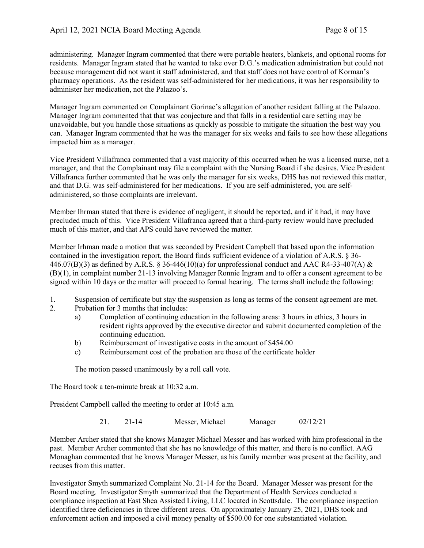administering. Manager Ingram commented that there were portable heaters, blankets, and optional rooms for residents. Manager Ingram stated that he wanted to take over D.G.'s medication administration but could not because management did not want it staff administered, and that staff does not have control of Korman's pharmacy operations. As the resident was self-administered for her medications, it was her responsibility to administer her medication, not the Palazoo's.

Manager Ingram commented on Complainant Gorinac's allegation of another resident falling at the Palazoo. Manager Ingram commented that that was conjecture and that falls in a residential care setting may be unavoidable, but you handle those situations as quickly as possible to mitigate the situation the best way you can. Manager Ingram commented that he was the manager for six weeks and fails to see how these allegations impacted him as a manager.

Vice President Villafranca commented that a vast majority of this occurred when he was a licensed nurse, not a manager, and that the Complainant may file a complaint with the Nursing Board if she desires. Vice President Villafranca further commented that he was only the manager for six weeks, DHS has not reviewed this matter, and that D.G. was self-administered for her medications. If you are self-administered, you are selfadministered, so those complaints are irrelevant.

Member Ihrman stated that there is evidence of negligent, it should be reported, and if it had, it may have precluded much of this. Vice President Villafranca agreed that a third-party review would have precluded much of this matter, and that APS could have reviewed the matter.

Member Irhman made a motion that was seconded by President Campbell that based upon the information contained in the investigation report, the Board finds sufficient evidence of a violation of A.R.S. § 36- 446.07(B)(3) as defined by A.R.S. § 36-446(10)(a) for unprofessional conduct and AAC R4-33-407(A) & (B)(1), in complaint number 21-13 involving Manager Ronnie Ingram and to offer a consent agreement to be signed within 10 days or the matter will proceed to formal hearing. The terms shall include the following:

- 1. Suspension of certificate but stay the suspension as long as terms of the consent agreement are met.
- 2. Probation for 3 months that includes:
	- a) Completion of continuing education in the following areas: 3 hours in ethics, 3 hours in resident rights approved by the executive director and submit documented completion of the continuing education.
	- b) Reimbursement of investigative costs in the amount of \$454.00
	- c) Reimbursement cost of the probation are those of the certificate holder

The motion passed unanimously by a roll call vote.

The Board took a ten-minute break at 10:32 a.m.

President Campbell called the meeting to order at 10:45 a.m.

21. 21-14 Messer, Michael Manager 02/12/21

Member Archer stated that she knows Manager Michael Messer and has worked with him professional in the past. Member Archer commented that she has no knowledge of this matter, and there is no conflict. AAG Monaghan commented that he knows Manager Messer, as his family member was present at the facility, and recuses from this matter.

Investigator Smyth summarized Complaint No. 21-14 for the Board. Manager Messer was present for the Board meeting. Investigator Smyth summarized that the Department of Health Services conducted a compliance inspection at East Shea Assisted Living, LLC located in Scottsdale. The compliance inspection identified three deficiencies in three different areas. On approximately January 25, 2021, DHS took and enforcement action and imposed a civil money penalty of \$500.00 for one substantiated violation.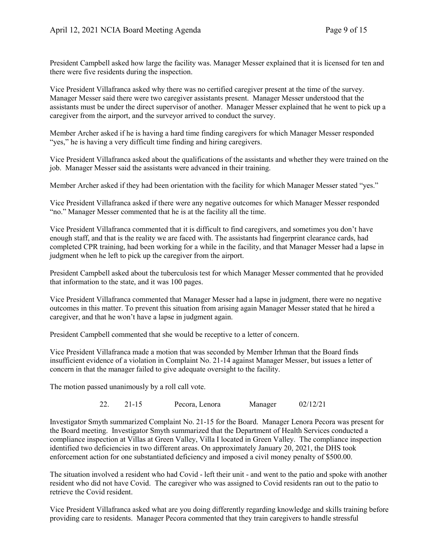President Campbell asked how large the facility was. Manager Messer explained that it is licensed for ten and there were five residents during the inspection.

Vice President Villafranca asked why there was no certified caregiver present at the time of the survey. Manager Messer said there were two caregiver assistants present. Manager Messer understood that the assistants must be under the direct supervisor of another. Manager Messer explained that he went to pick up a caregiver from the airport, and the surveyor arrived to conduct the survey.

Member Archer asked if he is having a hard time finding caregivers for which Manager Messer responded "yes," he is having a very difficult time finding and hiring caregivers.

Vice President Villafranca asked about the qualifications of the assistants and whether they were trained on the job. Manager Messer said the assistants were advanced in their training.

Member Archer asked if they had been orientation with the facility for which Manager Messer stated "yes."

Vice President Villafranca asked if there were any negative outcomes for which Manager Messer responded "no." Manager Messer commented that he is at the facility all the time.

Vice President Villafranca commented that it is difficult to find caregivers, and sometimes you don't have enough staff, and that is the reality we are faced with. The assistants had fingerprint clearance cards, had completed CPR training, had been working for a while in the facility, and that Manager Messer had a lapse in judgment when he left to pick up the caregiver from the airport.

President Campbell asked about the tuberculosis test for which Manager Messer commented that he provided that information to the state, and it was 100 pages.

Vice President Villafranca commented that Manager Messer had a lapse in judgment, there were no negative outcomes in this matter. To prevent this situation from arising again Manager Messer stated that he hired a caregiver, and that he won't have a lapse in judgment again.

President Campbell commented that she would be receptive to a letter of concern.

Vice President Villafranca made a motion that was seconded by Member Irhman that the Board finds insufficient evidence of a violation in Complaint No. 21-14 against Manager Messer, but issues a letter of concern in that the manager failed to give adequate oversight to the facility.

The motion passed unanimously by a roll call vote.

22. 21-15 Pecora, Lenora Manager 02/12/21

Investigator Smyth summarized Complaint No. 21-15 for the Board. Manager Lenora Pecora was present for the Board meeting. Investigator Smyth summarized that the Department of Health Services conducted a compliance inspection at Villas at Green Valley, Villa I located in Green Valley. The compliance inspection identified two deficiencies in two different areas. On approximately January 20, 2021, the DHS took enforcement action for one substantiated deficiency and imposed a civil money penalty of \$500.00.

The situation involved a resident who had Covid - left their unit - and went to the patio and spoke with another resident who did not have Covid. The caregiver who was assigned to Covid residents ran out to the patio to retrieve the Covid resident.

Vice President Villafranca asked what are you doing differently regarding knowledge and skills training before providing care to residents. Manager Pecora commented that they train caregivers to handle stressful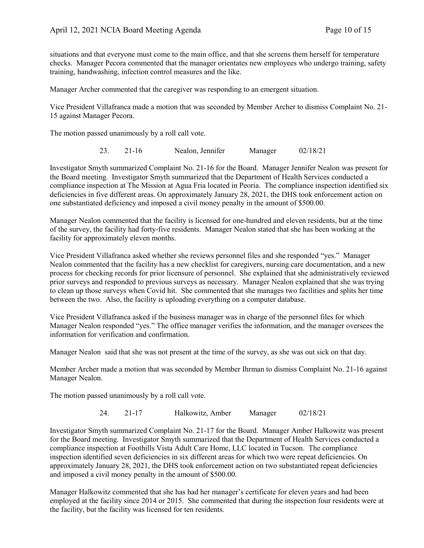situations and that everyone must come to the main office, and that she screens them herself for temperature checks. Manager Pecora commented that the manager orientates new employees who undergo training, safety training, handwashing, infection control measures and the like.

Manager Archer commented that the caregiver was responding to an emergent situation.

Vice President Villafranca made a motion that was seconded by Member Archer to dismiss Complaint No. 21- 15 against Manager Pecora.

The motion passed unanimously by a roll call vote.

23. 21-16 Nealon, Jennifer Manager 02/18/21

Investigator Smyth summarized Complaint No. 21-16 for the Board. Manager Jennifer Nealon was present for the Board meeting. Investigator Smyth summarized that the Department of Health Services conducted a compliance inspection at The Mission at Agua Fria located in Peoria. The compliance inspection identified six deficiencies in five different areas. On approximately January 28, 2021, the DHS took enforcement action on one substantiated deficiency and imposed a civil money penalty in the amount of \$500.00.

Manager Nealon commented that the facility is licensed for one-hundred and eleven residents, but at the time of the survey, the facility had forty-five residents. Manager Nealon stated that she has been working at the facility for approximately eleven months.

Vice President Villafranca asked whether she reviews personnel files and she responded "yes." Manager Nealon commented that the facility has a new checklist for caregivers, nursing care documentation, and a new process for checking records for prior licensure of personnel. She explained that she administratively reviewed prior surveys and responded to previous surveys as necessary. Manager Nealon explained that she was trying to clean up those surveys when Covid hit. She commented that she manages two facilities and splits her time between the two. Also, the facility is uploading everything on a computer database.

Vice President Villafranca asked if the business manager was in charge of the personnel files for which Manager Nealon responded "yes." The office manager verifies the information, and the manager oversees the information for verification and confirmation.

Manager Nealon said that she was not present at the time of the survey, as she was out sick on that day.

Member Archer made a motion that was seconded by Member Ihrman to dismiss Complaint No. 21-16 against Manager Nealon.

The motion passed unanimously by a roll call vote.

24. 21-17 Halkowitz, Amber Manager 02/18/21

Investigator Smyth summarized Complaint No. 21-17 for the Board. Manager Amber Halkowitz was present for the Board meeting. Investigator Smyth summarized that the Department of Health Services conducted a compliance inspection at Foothills Vista Adult Care Home, LLC located in Tucson. The compliance inspection identified seven deficiencies in six different areas for which two were repeat deficiencies. On approximately January 28, 2021, the DHS took enforcement action on two substantiated repeat deficiencies and imposed a civil money penalty in the amount of \$500.00.

Manager Halkowitz commented that she has had her manager's certificate for eleven years and had been employed at the facility since 2014 or 2015. She commented that during the inspection four residents were at the facility, but the facility was licensed for ten residents.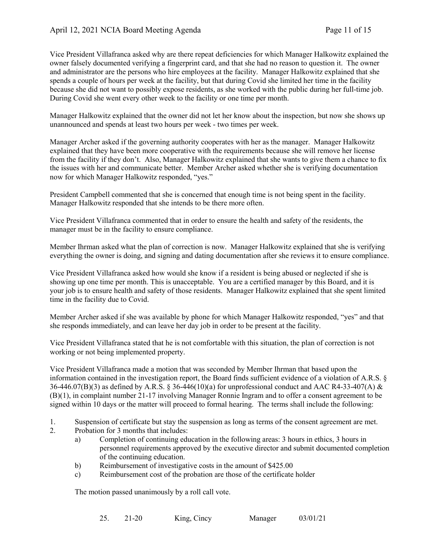Vice President Villafranca asked why are there repeat deficiencies for which Manager Halkowitz explained the owner falsely documented verifying a fingerprint card, and that she had no reason to question it. The owner and administrator are the persons who hire employees at the facility. Manager Halkowitz explained that she spends a couple of hours per week at the facility, but that during Covid she limited her time in the facility because she did not want to possibly expose residents, as she worked with the public during her full-time job. During Covid she went every other week to the facility or one time per month.

Manager Halkowitz explained that the owner did not let her know about the inspection, but now she shows up unannounced and spends at least two hours per week - two times per week.

Manager Archer asked if the governing authority cooperates with her as the manager. Manager Halkowitz explained that they have been more cooperative with the requirements because she will remove her license from the facility if they don't. Also, Manager Halkowitz explained that she wants to give them a chance to fix the issues with her and communicate better. Member Archer asked whether she is verifying documentation now for which Manager Halkowitz responded, "yes."

President Campbell commented that she is concerned that enough time is not being spent in the facility. Manager Halkowitz responded that she intends to be there more often.

Vice President Villafranca commented that in order to ensure the health and safety of the residents, the manager must be in the facility to ensure compliance.

Member Ihrman asked what the plan of correction is now. Manager Halkowitz explained that she is verifying everything the owner is doing, and signing and dating documentation after she reviews it to ensure compliance.

Vice President Villafranca asked how would she know if a resident is being abused or neglected if she is showing up one time per month. This is unacceptable. You are a certified manager by this Board, and it is your job is to ensure health and safety of those residents. Manager Halkowitz explained that she spent limited time in the facility due to Covid.

Member Archer asked if she was available by phone for which Manager Halkowitz responded, "yes" and that she responds immediately, and can leave her day job in order to be present at the facility.

Vice President Villafranca stated that he is not comfortable with this situation, the plan of correction is not working or not being implemented property.

Vice President Villafranca made a motion that was seconded by Member Ihrman that based upon the information contained in the investigation report, the Board finds sufficient evidence of a violation of A.R.S. §  $36-446.07(B)(3)$  as defined by A.R.S. § 36-446(10)(a) for unprofessional conduct and AAC R4-33-407(A) & (B)(1), in complaint number 21-17 involving Manager Ronnie Ingram and to offer a consent agreement to be signed within 10 days or the matter will proceed to formal hearing. The terms shall include the following:

- 1. Suspension of certificate but stay the suspension as long as terms of the consent agreement are met.
- 2. Probation for 3 months that includes:
	- a) Completion of continuing education in the following areas: 3 hours in ethics, 3 hours in personnel requirements approved by the executive director and submit documented completion of the continuing education.
	- b) Reimbursement of investigative costs in the amount of \$425.00
	- c) Reimbursement cost of the probation are those of the certificate holder

The motion passed unanimously by a roll call vote.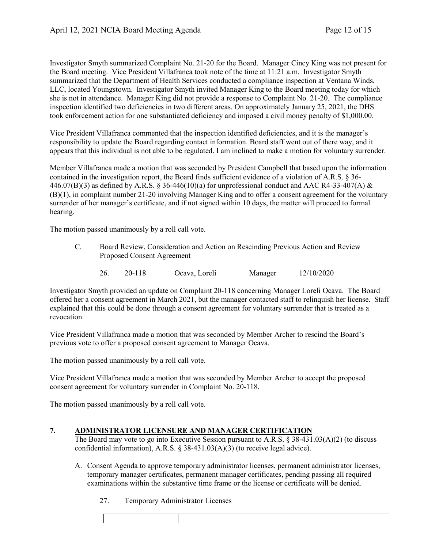Investigator Smyth summarized Complaint No. 21-20 for the Board. Manager Cincy King was not present for the Board meeting. Vice President Villafranca took note of the time at 11:21 a.m. Investigator Smyth summarized that the Department of Health Services conducted a compliance inspection at Ventana Winds, LLC, located Youngstown. Investigator Smyth invited Manager King to the Board meeting today for which she is not in attendance. Manager King did not provide a response to Complaint No. 21-20. The compliance inspection identified two deficiencies in two different areas. On approximately January 25, 2021, the DHS took enforcement action for one substantiated deficiency and imposed a civil money penalty of \$1,000.00.

Vice President Villafranca commented that the inspection identified deficiencies, and it is the manager's responsibility to update the Board regarding contact information. Board staff went out of there way, and it appears that this individual is not able to be regulated. I am inclined to make a motion for voluntary surrender.

Member Villafranca made a motion that was seconded by President Campbell that based upon the information contained in the investigation report, the Board finds sufficient evidence of a violation of A.R.S. § 36- 446.07(B)(3) as defined by A.R.S. § 36-446(10)(a) for unprofessional conduct and AAC R4-33-407(A) & (B)(1), in complaint number 21-20 involving Manager King and to offer a consent agreement for the voluntary surrender of her manager's certificate, and if not signed within 10 days, the matter will proceed to formal hearing.

The motion passed unanimously by a roll call vote.

- C. Board Review, Consideration and Action on Rescinding Previous Action and Review Proposed Consent Agreement
	- 26. 20-118 Ocava, Loreli Manager 12/10/2020

Investigator Smyth provided an update on Complaint 20-118 concerning Manager Loreli Ocava. The Board offered her a consent agreement in March 2021, but the manager contacted staff to relinquish her license. Staff explained that this could be done through a consent agreement for voluntary surrender that is treated as a revocation.

Vice President Villafranca made a motion that was seconded by Member Archer to rescind the Board's previous vote to offer a proposed consent agreement to Manager Ocava.

The motion passed unanimously by a roll call vote.

Vice President Villafranca made a motion that was seconded by Member Archer to accept the proposed consent agreement for voluntary surrender in Complaint No. 20-118.

The motion passed unanimously by a roll call vote.

# **7. ADMINISTRATOR LICENSURE AND MANAGER CERTIFICATION**

The Board may vote to go into Executive Session pursuant to A.R.S. § 38-431.03(A)(2) (to discuss confidential information), A.R.S. § 38-431.03(A)(3) (to receive legal advice).

- A. Consent Agenda to approve temporary administrator licenses, permanent administrator licenses, temporary manager certificates, permanent manager certificates, pending passing all required examinations within the substantive time frame or the license or certificate will be denied.
	- 27. Temporary Administrator Licenses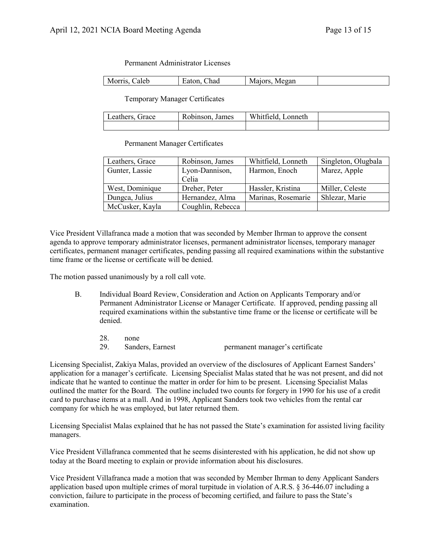Permanent Administrator Licenses

| ha<br>IV.<br>иι<br>'all |
|-------------------------|
|-------------------------|

Temporary Manager Certificates

| ∟eathers, Grace | Robinson, James | Whitfield, Lonneth |  |
|-----------------|-----------------|--------------------|--|
|                 |                 |                    |  |

Permanent Manager Certificates

| Leathers, Grace | Robinson, James   | Whitfield, Lonneth | Singleton, Olugbala |
|-----------------|-------------------|--------------------|---------------------|
| Gunter, Lassie  | Lyon-Dannison,    | Harmon, Enoch      | Marez, Apple        |
|                 | Celia             |                    |                     |
| West, Dominique | Dreher, Peter     | Hassler, Kristina  | Miller, Celeste     |
| Dungca, Julius  | Hernandez, Alma   | Marinas, Rosemarie | Shlezar, Marie      |
| McCusker, Kayla | Coughlin, Rebecca |                    |                     |

Vice President Villafranca made a motion that was seconded by Member Ihrman to approve the consent agenda to approve temporary administrator licenses, permanent administrator licenses, temporary manager certificates, permanent manager certificates, pending passing all required examinations within the substantive time frame or the license or certificate will be denied.

The motion passed unanimously by a roll call vote.

- B. Individual Board Review, Consideration and Action on Applicants Temporary and/or Permanent Administrator License or Manager Certificate. If approved, pending passing all required examinations within the substantive time frame or the license or certificate will be denied.
	- 28. none 29. Sanders, Earnest permanent manager's certificate

Licensing Specialist, Zakiya Malas, provided an overview of the disclosures of Applicant Earnest Sanders' application for a manager's certificate. Licensing Specialist Malas stated that he was not present, and did not indicate that he wanted to continue the matter in order for him to be present. Licensing Specialist Malas outlined the matter for the Board. The outline included two counts for forgery in 1990 for his use of a credit card to purchase items at a mall. And in 1998, Applicant Sanders took two vehicles from the rental car company for which he was employed, but later returned them.

Licensing Specialist Malas explained that he has not passed the State's examination for assisted living facility managers.

Vice President Villafranca commented that he seems disinterested with his application, he did not show up today at the Board meeting to explain or provide information about his disclosures.

Vice President Villafranca made a motion that was seconded by Member Ihrman to deny Applicant Sanders application based upon multiple crimes of moral turpitude in violation of A.R.S. § 36-446.07 including a conviction, failure to participate in the process of becoming certified, and failure to pass the State's examination.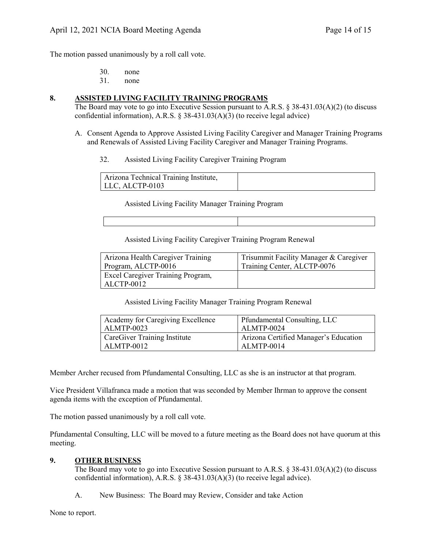The motion passed unanimously by a roll call vote.

| 30. | none |
|-----|------|
|     |      |

31. none

# **8. ASSISTED LIVING FACILITY TRAINING PROGRAMS**

The Board may vote to go into Executive Session pursuant to A.R.S. § 38-431.03(A)(2) (to discuss confidential information), A.R.S. § 38-431.03(A)(3) (to receive legal advice)

- A. Consent Agenda to Approve Assisted Living Facility Caregiver and Manager Training Programs and Renewals of Assisted Living Facility Caregiver and Manager Training Programs.
	- 32. Assisted Living Facility Caregiver Training Program

| Arizona Technical Training Institute, |  |
|---------------------------------------|--|
| $LLC$ , ALCTP-0103                    |  |

Assisted Living Facility Manager Training Program

Assisted Living Facility Caregiver Training Program Renewal

| Arizona Health Caregiver Training               | Trisummit Facility Manager & Caregiver |
|-------------------------------------------------|----------------------------------------|
| Program, ALCTP-0016                             | Training Center, ALCTP-0076            |
| Excel Caregiver Training Program,<br>ALCTP-0012 |                                        |

Assisted Living Facility Manager Training Program Renewal

| Academy for Caregiving Excellence | Pfundamental Consulting, LLC          |
|-----------------------------------|---------------------------------------|
| ALMTP-0023                        | ALMTP-0024                            |
| CareGiver Training Institute      | Arizona Certified Manager's Education |
| ALMTP-0012                        | ALMTP-0014                            |

Member Archer recused from Pfundamental Consulting, LLC as she is an instructor at that program.

Vice President Villafranca made a motion that was seconded by Member Ihrman to approve the consent agenda items with the exception of Pfundamental.

The motion passed unanimously by a roll call vote.

Pfundamental Consulting, LLC will be moved to a future meeting as the Board does not have quorum at this meeting.

### **9. OTHER BUSINESS**

The Board may vote to go into Executive Session pursuant to A.R.S. § 38-431.03(A)(2) (to discuss confidential information), A.R.S. § 38-431.03(A)(3) (to receive legal advice).

A. New Business: The Board may Review, Consider and take Action

None to report.